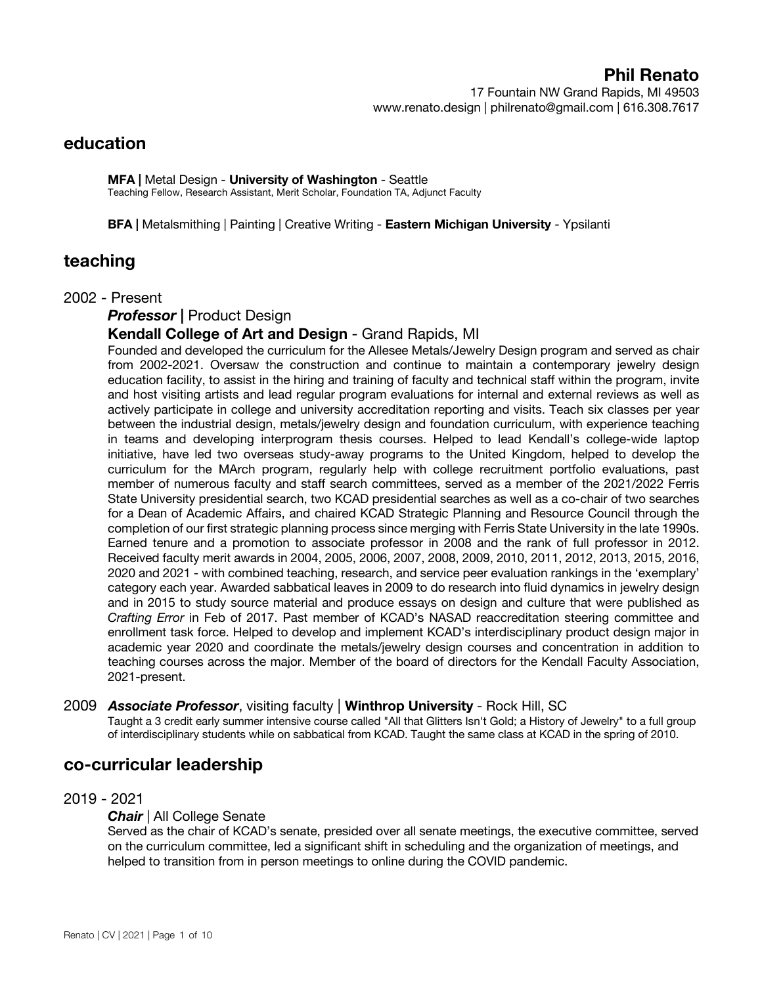17 Fountain NW Grand Rapids, MI 49503 www.renato.design | philrenato@gmail.com | 616.308.7617

# **education**

**MFA |** Metal Design - **University of Washington** - Seattle Teaching Fellow, Research Assistant, Merit Scholar, Foundation TA, Adjunct Faculty

**BFA |** Metalsmithing | Painting | Creative Writing - **Eastern Michigan University** - Ypsilanti

# **teaching**

#### 2002 - Present

*Professor* | Product Design

## **Kendall College of Art and Design** - Grand Rapids, MI

Founded and developed the curriculum for the Allesee Metals/Jewelry Design program and served as chair from 2002-2021. Oversaw the construction and continue to maintain a contemporary jewelry design education facility, to assist in the hiring and training of faculty and technical staff within the program, invite and host visiting artists and lead regular program evaluations for internal and external reviews as well as actively participate in college and university accreditation reporting and visits. Teach six classes per year between the industrial design, metals/jewelry design and foundation curriculum, with experience teaching in teams and developing interprogram thesis courses. Helped to lead Kendall's college-wide laptop initiative, have led two overseas study-away programs to the United Kingdom, helped to develop the curriculum for the MArch program, regularly help with college recruitment portfolio evaluations, past member of numerous faculty and staff search committees, served as a member of the 2021/2022 Ferris State University presidential search, two KCAD presidential searches as well as a co-chair of two searches for a Dean of Academic Affairs, and chaired KCAD Strategic Planning and Resource Council through the completion of our first strategic planning process since merging with Ferris State University in the late 1990s. Earned tenure and a promotion to associate professor in 2008 and the rank of full professor in 2012. Received faculty merit awards in 2004, 2005, 2006, 2007, 2008, 2009, 2010, 2011, 2012, 2013, 2015, 2016, 2020 and 2021 - with combined teaching, research, and service peer evaluation rankings in the 'exemplary' category each year. Awarded sabbatical leaves in 2009 to do research into fluid dynamics in jewelry design and in 2015 to study source material and produce essays on design and culture that were published as *Crafting Error* in Feb of 2017. Past member of KCAD's NASAD reaccreditation steering committee and enrollment task force. Helped to develop and implement KCAD's interdisciplinary product design major in academic year 2020 and coordinate the metals/jewelry design courses and concentration in addition to teaching courses across the major. Member of the board of directors for the Kendall Faculty Association, 2021-present.

#### 2009 *Associate Professor*, visiting faculty | **Winthrop University** - Rock Hill, SC

Taught a 3 credit early summer intensive course called "All that Glitters Isn't Gold; a History of Jewelry" to a full group of interdisciplinary students while on sabbatical from KCAD. Taught the same class at KCAD in the spring of 2010.

# **co-curricular leadership**

## 2019 - 2021

#### *Chair* | All College Senate

Served as the chair of KCAD's senate, presided over all senate meetings, the executive committee, served on the curriculum committee, led a significant shift in scheduling and the organization of meetings, and helped to transition from in person meetings to online during the COVID pandemic.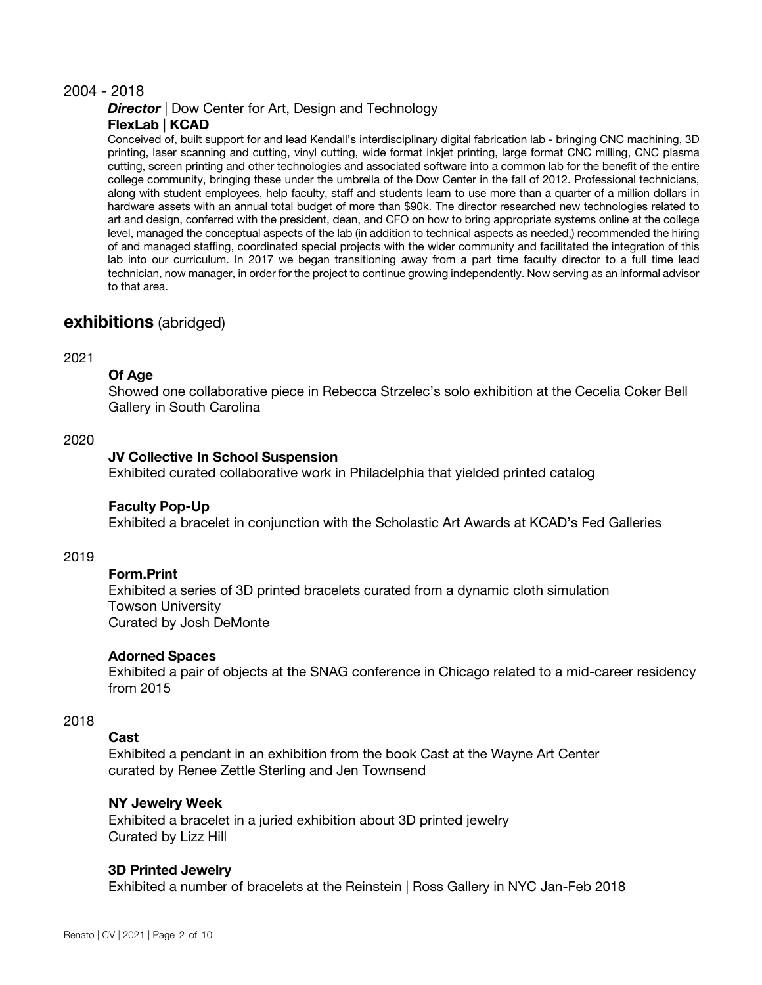### 2004 - 2018

# *Director* | Dow Center for Art, Design and Technology **FlexLab | KCAD**

Conceived of, built support for and lead Kendall's interdisciplinary digital fabrication lab - bringing CNC machining, 3D printing, laser scanning and cutting, vinyl cutting, wide format inkjet printing, large format CNC milling, CNC plasma cutting, screen printing and other technologies and associated software into a common lab for the benefit of the entire college community, bringing these under the umbrella of the Dow Center in the fall of 2012. Professional technicians, along with student employees, help faculty, staff and students learn to use more than a quarter of a million dollars in hardware assets with an annual total budget of more than \$90k. The director researched new technologies related to art and design, conferred with the president, dean, and CFO on how to bring appropriate systems online at the college level, managed the conceptual aspects of the lab (in addition to technical aspects as needed,) recommended the hiring of and managed staffing, coordinated special projects with the wider community and facilitated the integration of this lab into our curriculum. In 2017 we began transitioning away from a part time faculty director to a full time lead technician, now manager, in order for the project to continue growing independently. Now serving as an informal advisor to that area.

# **exhibitions** (abridged)

#### 2021

## **Of Age**

Showed one collaborative piece in Rebecca Strzelec's solo exhibition at the Cecelia Coker Bell Gallery in South Carolina

#### 2020

#### **JV Collective In School Suspension**

Exhibited curated collaborative work in Philadelphia that yielded printed catalog

#### **Faculty Pop-Up**

Exhibited a bracelet in conjunction with the Scholastic Art Awards at KCAD's Fed Galleries

#### 2019

## **Form.Print**

Exhibited a series of 3D printed bracelets curated from a dynamic cloth simulation Towson University Curated by Josh DeMonte

#### **Adorned Spaces**

Exhibited a pair of objects at the SNAG conference in Chicago related to a mid-career residency from 2015

#### 2018

# **Cast**

Exhibited a pendant in an exhibition from the book Cast at the Wayne Art Center curated by Renee Zettle Sterling and Jen Townsend

#### **NY Jewelry Week**

Exhibited a bracelet in a juried exhibition about 3D printed jewelry Curated by Lizz Hill

#### **3D Printed Jewelry**

Exhibited a number of bracelets at the Reinstein | Ross Gallery in NYC Jan-Feb 2018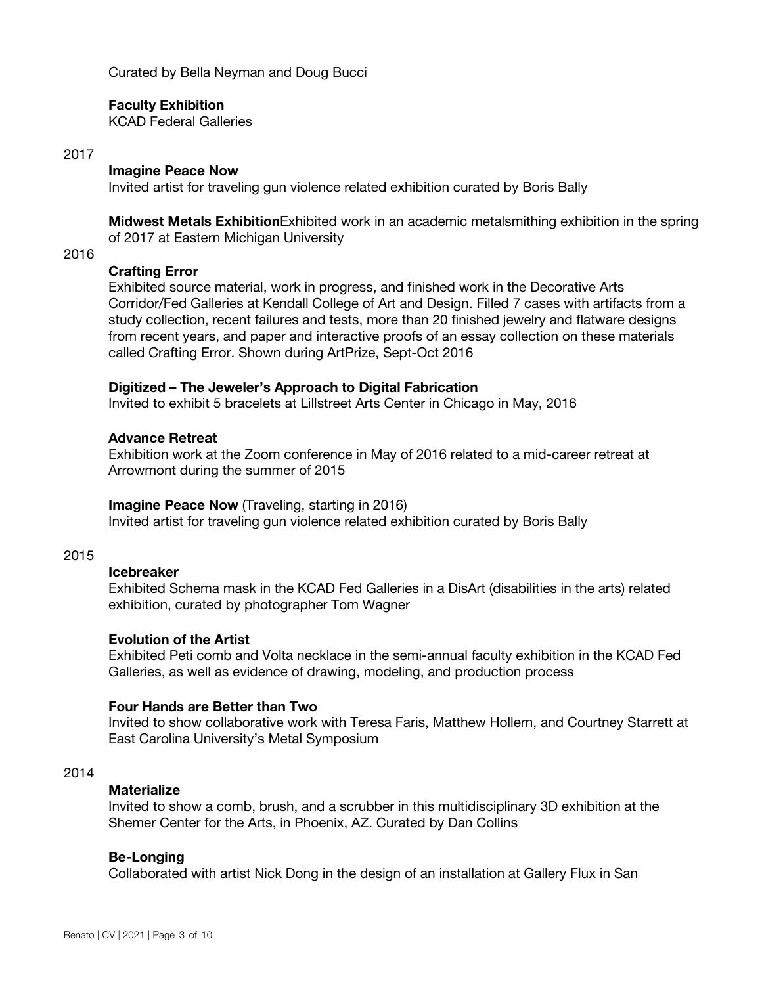Curated by Bella Neyman and Doug Bucci

#### **Faculty Exhibition**

KCAD Federal Galleries

#### 2017

#### **Imagine Peace Now**

Invited artist for traveling gun violence related exhibition curated by Boris Bally

**Midwest Metals Exhibition**Exhibited work in an academic metalsmithing exhibition in the spring of 2017 at Eastern Michigan University

#### 2016

#### **Crafting Error**

Exhibited source material, work in progress, and finished work in the Decorative Arts Corridor/Fed Galleries at Kendall College of Art and Design. Filled 7 cases with artifacts from a study collection, recent failures and tests, more than 20 finished jewelry and flatware designs from recent years, and paper and interactive proofs of an essay collection on these materials called Crafting Error. Shown during ArtPrize, Sept-Oct 2016

#### **Digitized – The Jeweler's Approach to Digital Fabrication**

Invited to exhibit 5 bracelets at Lillstreet Arts Center in Chicago in May, 2016

#### **Advance Retreat**

Exhibition work at the Zoom conference in May of 2016 related to a mid-career retreat at Arrowmont during the summer of 2015

#### **Imagine Peace Now** (Traveling, starting in 2016)

Invited artist for traveling gun violence related exhibition curated by Boris Bally

#### 2015

#### **Icebreaker**

Exhibited Schema mask in the KCAD Fed Galleries in a DisArt (disabilities in the arts) related exhibition, curated by photographer Tom Wagner

#### **Evolution of the Artist**

Exhibited Peti comb and Volta necklace in the semi-annual faculty exhibition in the KCAD Fed Galleries, as well as evidence of drawing, modeling, and production process

#### **Four Hands are Better than Two**

Invited to show collaborative work with Teresa Faris, Matthew Hollern, and Courtney Starrett at East Carolina University's Metal Symposium

#### 2014

#### **Materialize**

Invited to show a comb, brush, and a scrubber in this multidisciplinary 3D exhibition at the Shemer Center for the Arts, in Phoenix, AZ. Curated by Dan Collins

#### **Be-Longing**

Collaborated with artist Nick Dong in the design of an installation at Gallery Flux in San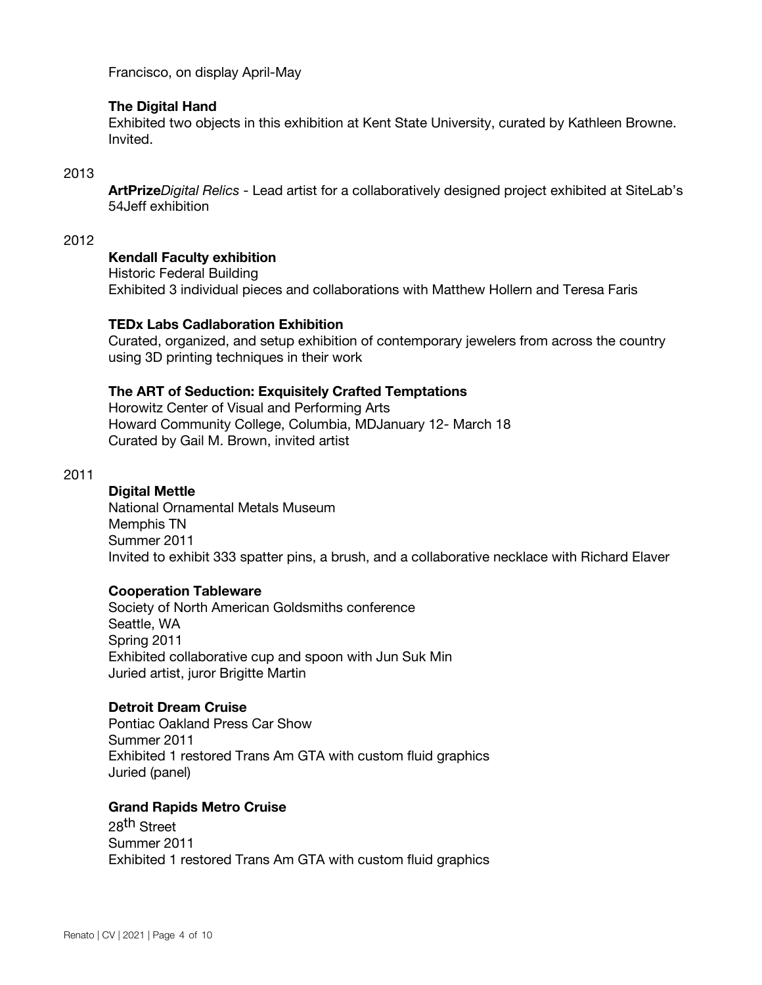Francisco, on display April-May

## **The Digital Hand**

Exhibited two objects in this exhibition at Kent State University, curated by Kathleen Browne. Invited.

### 2013

**ArtPrize***Digital Relics* - Lead artist for a collaboratively designed project exhibited at SiteLab's 54Jeff exhibition

#### 2012

## **Kendall Faculty exhibition**

Historic Federal Building Exhibited 3 individual pieces and collaborations with Matthew Hollern and Teresa Faris

## **TEDx Labs Cadlaboration Exhibition**

Curated, organized, and setup exhibition of contemporary jewelers from across the country using 3D printing techniques in their work

#### **The ART of Seduction: Exquisitely Crafted Temptations**

Horowitz Center of Visual and Performing Arts Howard Community College, Columbia, MDJanuary 12- March 18 Curated by Gail M. Brown, invited artist

#### 2011

#### **Digital Mettle**

National Ornamental Metals Museum Memphis TN Summer 2011 Invited to exhibit 333 spatter pins, a brush, and a collaborative necklace with Richard Elaver

#### **Cooperation Tableware**

Society of North American Goldsmiths conference Seattle, WA Spring 2011 Exhibited collaborative cup and spoon with Jun Suk Min Juried artist, juror Brigitte Martin

#### **Detroit Dream Cruise**

Pontiac Oakland Press Car Show Summer 2011 Exhibited 1 restored Trans Am GTA with custom fluid graphics Juried (panel)

#### **Grand Rapids Metro Cruise**

28th Street Summer 2011 Exhibited 1 restored Trans Am GTA with custom fluid graphics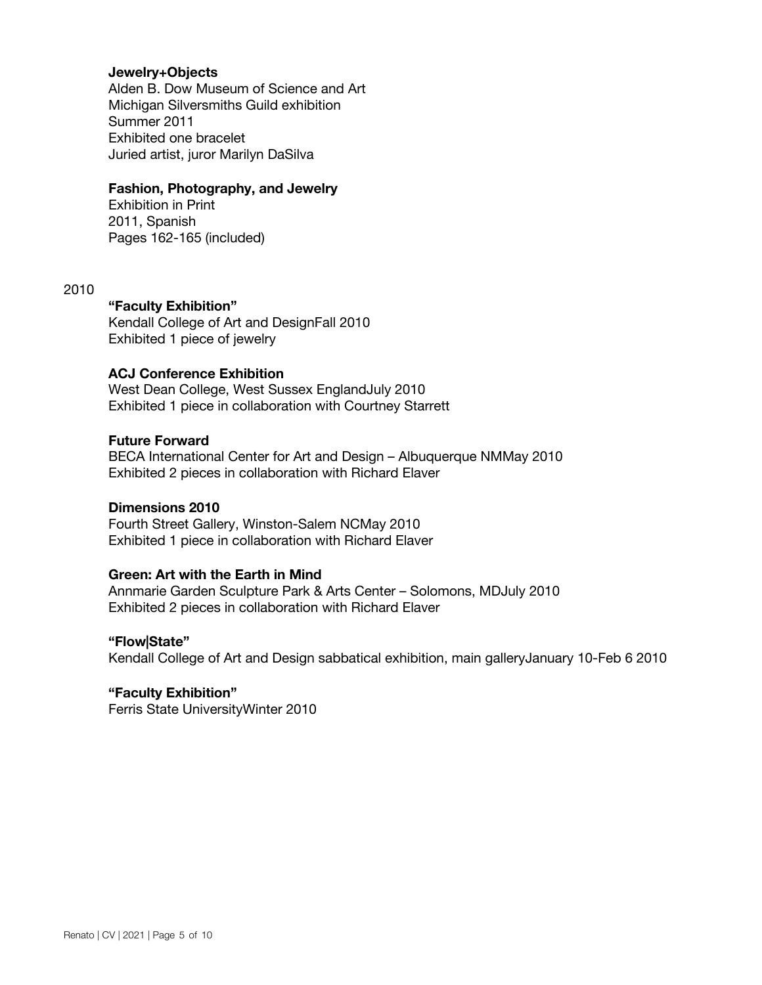### **Jewelry+Objects**

Alden B. Dow Museum of Science and Art Michigan Silversmiths Guild exhibition Summer 2011 Exhibited one bracelet Juried artist, juror Marilyn DaSilva

## **Fashion, Photography, and Jewelry**

Exhibition in Print 2011, Spanish Pages 162-165 (included)

#### 2010

## **"Faculty Exhibition"**

Kendall College of Art and DesignFall 2010 Exhibited 1 piece of jewelry

#### **ACJ Conference Exhibition**

West Dean College, West Sussex EnglandJuly 2010 Exhibited 1 piece in collaboration with Courtney Starrett

#### **Future Forward**

BECA International Center for Art and Design – Albuquerque NMMay 2010 Exhibited 2 pieces in collaboration with Richard Elaver

## **Dimensions 2010**

Fourth Street Gallery, Winston-Salem NCMay 2010 Exhibited 1 piece in collaboration with Richard Elaver

#### **Green: Art with the Earth in Mind**

Annmarie Garden Sculpture Park & Arts Center – Solomons, MDJuly 2010 Exhibited 2 pieces in collaboration with Richard Elaver

#### **"Flow|State"**

Kendall College of Art and Design sabbatical exhibition, main galleryJanuary 10-Feb 6 2010

#### **"Faculty Exhibition"**

Ferris State UniversityWinter 2010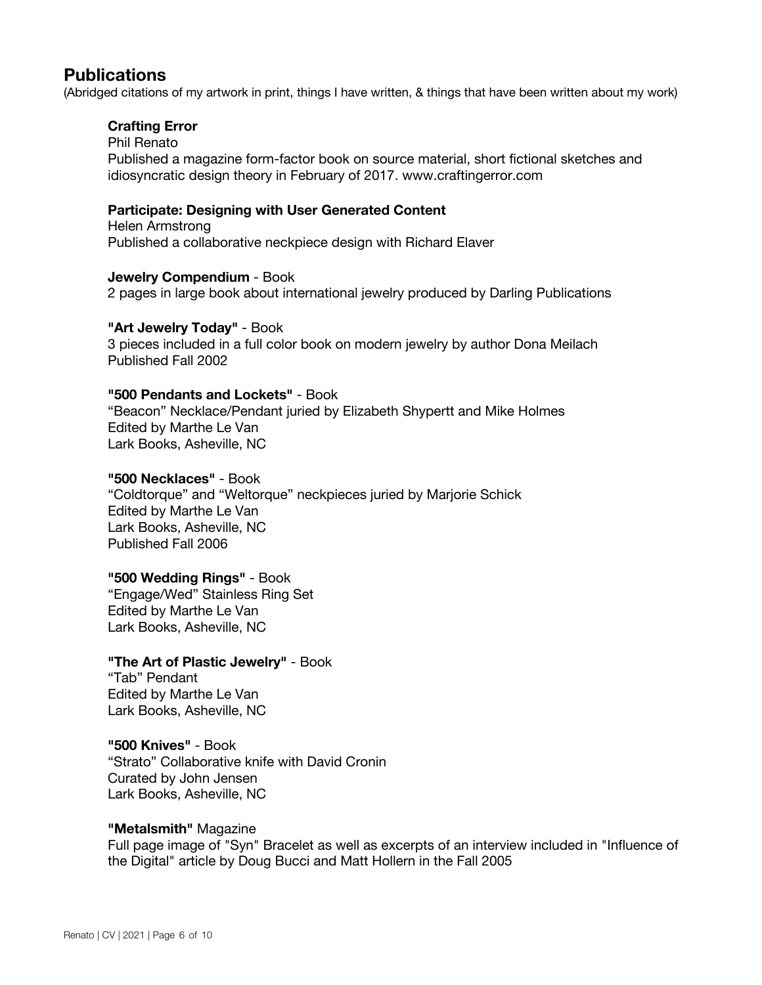# **Publications**

(Abridged citations of my artwork in print, things I have written, & things that have been written about my work)

# **Crafting Error**

Phil Renato Published a magazine form-factor book on source material, short fictional sketches and idiosyncratic design theory in February of 2017. www.craftingerror.com

## **Participate: Designing with User Generated Content**

Helen Armstrong Published a collaborative neckpiece design with Richard Elaver

#### **Jewelry Compendium** - Book

2 pages in large book about international jewelry produced by Darling Publications

#### **"Art Jewelry Today"** - Book 3 pieces included in a full color book on modern jewelry by author Dona Meilach Published Fall 2002

## **"500 Pendants and Lockets"** - Book

"Beacon" Necklace/Pendant juried by Elizabeth Shypertt and Mike Holmes Edited by Marthe Le Van Lark Books, Asheville, NC

#### **"500 Necklaces"** - Book

"Coldtorque" and "Weltorque" neckpieces juried by Marjorie Schick Edited by Marthe Le Van Lark Books, Asheville, NC Published Fall 2006

## **"500 Wedding Rings"** - Book

"Engage/Wed" Stainless Ring Set Edited by Marthe Le Van Lark Books, Asheville, NC

## **"The Art of Plastic Jewelry"** - Book

"Tab" Pendant Edited by Marthe Le Van Lark Books, Asheville, NC

# **"500 Knives"** - Book

"Strato" Collaborative knife with David Cronin Curated by John Jensen Lark Books, Asheville, NC

#### **"Metalsmith"** Magazine

Full page image of "Syn" Bracelet as well as excerpts of an interview included in "Influence of the Digital" article by Doug Bucci and Matt Hollern in the Fall 2005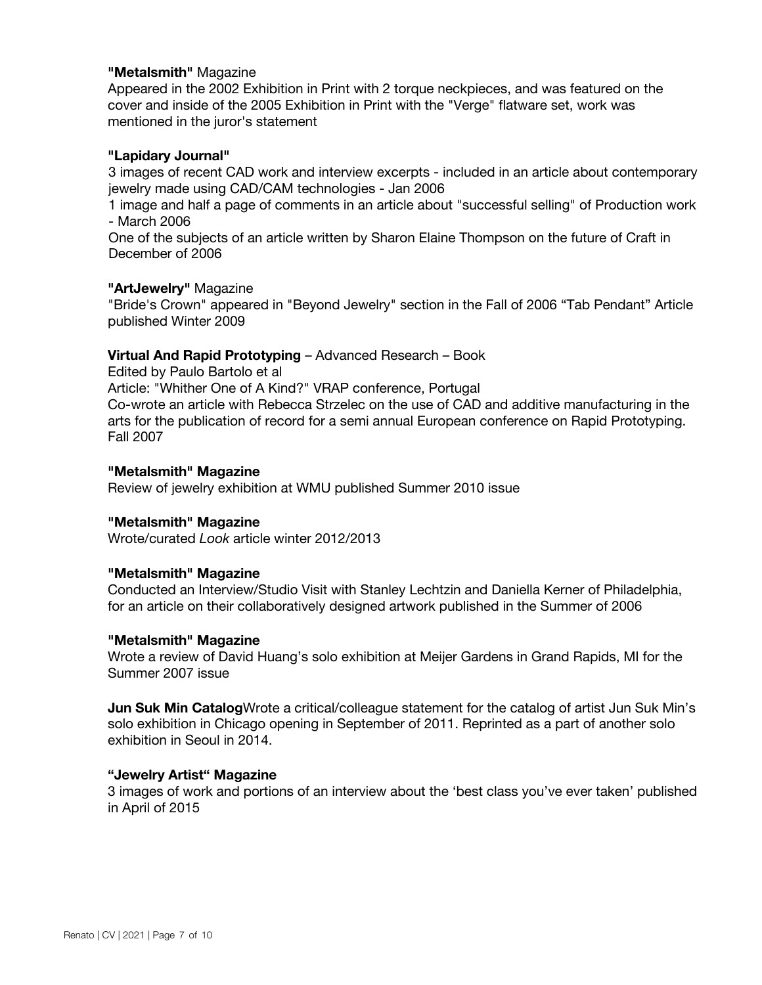### **"Metalsmith"** Magazine

Appeared in the 2002 Exhibition in Print with 2 torque neckpieces, and was featured on the cover and inside of the 2005 Exhibition in Print with the "Verge" flatware set, work was mentioned in the juror's statement

### **"Lapidary Journal"**

3 images of recent CAD work and interview excerpts - included in an article about contemporary jewelry made using CAD/CAM technologies - Jan 2006

1 image and half a page of comments in an article about "successful selling" of Production work - March 2006

One of the subjects of an article written by Sharon Elaine Thompson on the future of Craft in December of 2006

### **"ArtJewelry"** Magazine

"Bride's Crown" appeared in "Beyond Jewelry" section in the Fall of 2006 "Tab Pendant" Article published Winter 2009

## **Virtual And Rapid Prototyping** – Advanced Research – Book

Edited by Paulo Bartolo et al

Article: "Whither One of A Kind?" VRAP conference, Portugal

Co-wrote an article with Rebecca Strzelec on the use of CAD and additive manufacturing in the arts for the publication of record for a semi annual European conference on Rapid Prototyping. Fall 2007

## **"Metalsmith" Magazine**

Review of jewelry exhibition at WMU published Summer 2010 issue

#### **"Metalsmith" Magazine**

Wrote/curated *Look* article winter 2012/2013

#### **"Metalsmith" Magazine**

Conducted an Interview/Studio Visit with Stanley Lechtzin and Daniella Kerner of Philadelphia, for an article on their collaboratively designed artwork published in the Summer of 2006

#### **"Metalsmith" Magazine**

Wrote a review of David Huang's solo exhibition at Meijer Gardens in Grand Rapids, MI for the Summer 2007 issue

**Jun Suk Min Catalog**Wrote a critical/colleague statement for the catalog of artist Jun Suk Min's solo exhibition in Chicago opening in September of 2011. Reprinted as a part of another solo exhibition in Seoul in 2014.

#### **"Jewelry Artist" Magazine**

3 images of work and portions of an interview about the 'best class you've ever taken' published in April of 2015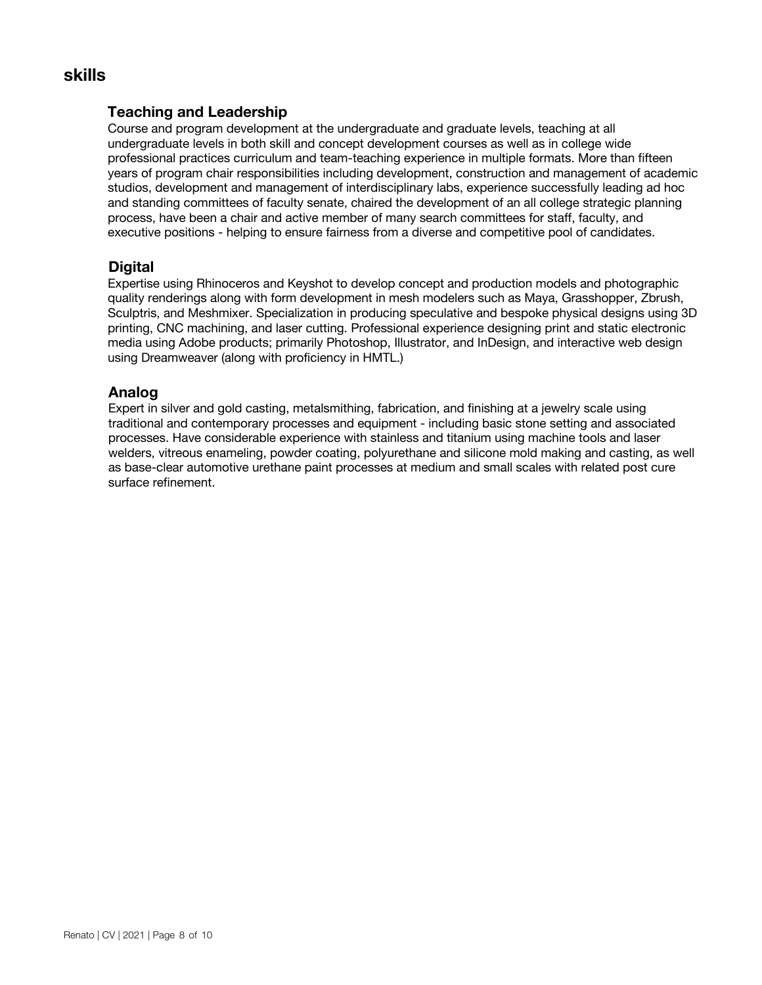# **skills**

# **Teaching and Leadership**

Course and program development at the undergraduate and graduate levels, teaching at all undergraduate levels in both skill and concept development courses as well as in college wide professional practices curriculum and team-teaching experience in multiple formats. More than fifteen years of program chair responsibilities including development, construction and management of academic studios, development and management of interdisciplinary labs, experience successfully leading ad hoc and standing committees of faculty senate, chaired the development of an all college strategic planning process, have been a chair and active member of many search committees for staff, faculty, and executive positions - helping to ensure fairness from a diverse and competitive pool of candidates.

# **Digital**

Expertise using Rhinoceros and Keyshot to develop concept and production models and photographic quality renderings along with form development in mesh modelers such as Maya, Grasshopper, Zbrush, Sculptris, and Meshmixer. Specialization in producing speculative and bespoke physical designs using 3D printing, CNC machining, and laser cutting. Professional experience designing print and static electronic media using Adobe products; primarily Photoshop, Illustrator, and InDesign, and interactive web design using Dreamweaver (along with proficiency in HMTL.)

# **Analog**

Expert in silver and gold casting, metalsmithing, fabrication, and finishing at a jewelry scale using traditional and contemporary processes and equipment - including basic stone setting and associated processes. Have considerable experience with stainless and titanium using machine tools and laser welders, vitreous enameling, powder coating, polyurethane and silicone mold making and casting, as well as base-clear automotive urethane paint processes at medium and small scales with related post cure surface refinement.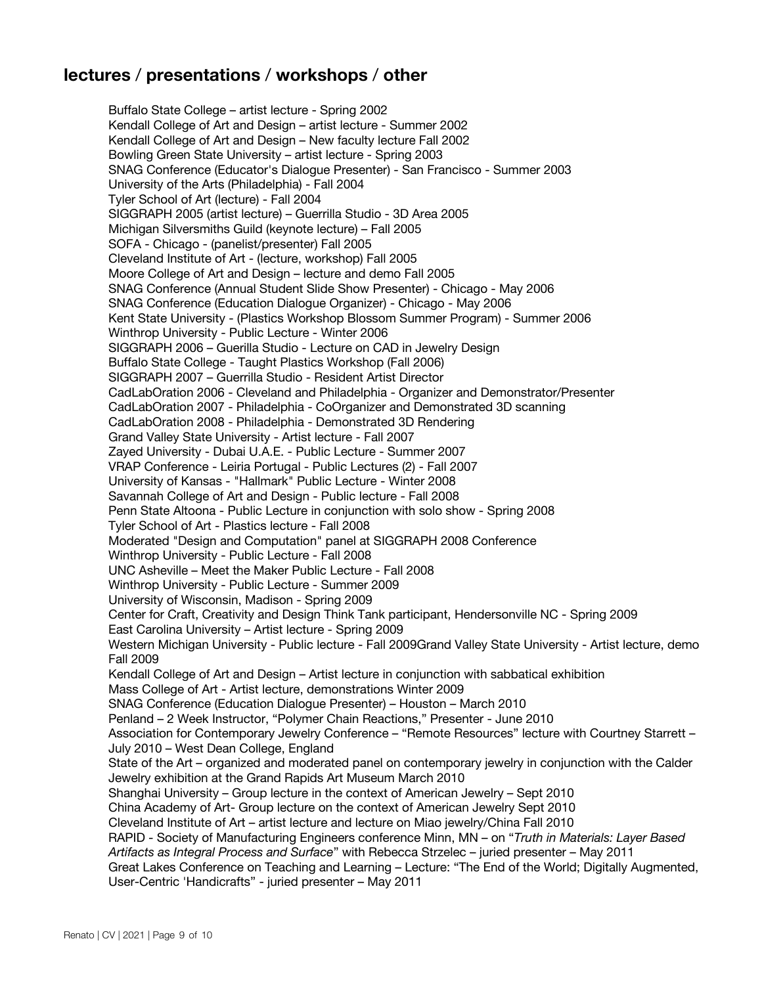# **lectures** / **presentations** / **workshops** / **other**

Buffalo State College – artist lecture - Spring 2002 Kendall College of Art and Design – artist lecture - Summer 2002 Kendall College of Art and Design – New faculty lecture Fall 2002 Bowling Green State University – artist lecture - Spring 2003 SNAG Conference (Educator's Dialogue Presenter) - San Francisco - Summer 2003 University of the Arts (Philadelphia) - Fall 2004 Tyler School of Art (lecture) - Fall 2004 SIGGRAPH 2005 (artist lecture) – Guerrilla Studio - 3D Area 2005 Michigan Silversmiths Guild (keynote lecture) – Fall 2005 SOFA - Chicago - (panelist/presenter) Fall 2005 Cleveland Institute of Art - (lecture, workshop) Fall 2005 Moore College of Art and Design – lecture and demo Fall 2005 SNAG Conference (Annual Student Slide Show Presenter) - Chicago - May 2006 SNAG Conference (Education Dialogue Organizer) - Chicago - May 2006 Kent State University - (Plastics Workshop Blossom Summer Program) - Summer 2006 Winthrop University - Public Lecture - Winter 2006 SIGGRAPH 2006 – Guerilla Studio - Lecture on CAD in Jewelry Design Buffalo State College - Taught Plastics Workshop (Fall 2006) SIGGRAPH 2007 – Guerrilla Studio - Resident Artist Director CadLabOration 2006 - Cleveland and Philadelphia - Organizer and Demonstrator/Presenter CadLabOration 2007 - Philadelphia - CoOrganizer and Demonstrated 3D scanning CadLabOration 2008 - Philadelphia - Demonstrated 3D Rendering Grand Valley State University - Artist lecture - Fall 2007 Zayed University - Dubai U.A.E. - Public Lecture - Summer 2007 VRAP Conference - Leiria Portugal - Public Lectures (2) - Fall 2007 University of Kansas - "Hallmark" Public Lecture - Winter 2008 Savannah College of Art and Design - Public lecture - Fall 2008 Penn State Altoona - Public Lecture in conjunction with solo show - Spring 2008 Tyler School of Art - Plastics lecture - Fall 2008 Moderated "Design and Computation" panel at SIGGRAPH 2008 Conference Winthrop University - Public Lecture - Fall 2008 UNC Asheville – Meet the Maker Public Lecture - Fall 2008 Winthrop University - Public Lecture - Summer 2009 University of Wisconsin, Madison - Spring 2009 Center for Craft, Creativity and Design Think Tank participant, Hendersonville NC - Spring 2009 East Carolina University – Artist lecture - Spring 2009 Western Michigan University - Public lecture - Fall 2009Grand Valley State University - Artist lecture, demo Fall 2009 Kendall College of Art and Design – Artist lecture in conjunction with sabbatical exhibition Mass College of Art - Artist lecture, demonstrations Winter 2009 SNAG Conference (Education Dialogue Presenter) – Houston – March 2010 Penland – 2 Week Instructor, "Polymer Chain Reactions," Presenter - June 2010 Association for Contemporary Jewelry Conference – "Remote Resources" lecture with Courtney Starrett – July 2010 – West Dean College, England State of the Art – organized and moderated panel on contemporary jewelry in conjunction with the Calder Jewelry exhibition at the Grand Rapids Art Museum March 2010 Shanghai University – Group lecture in the context of American Jewelry – Sept 2010 China Academy of Art- Group lecture on the context of American Jewelry Sept 2010 Cleveland Institute of Art – artist lecture and lecture on Miao jewelry/China Fall 2010 RAPID - Society of Manufacturing Engineers conference Minn, MN – on "*Truth in Materials: Layer Based Artifacts as Integral Process and Surface*" with Rebecca Strzelec – juried presenter – May 2011 Great Lakes Conference on Teaching and Learning – Lecture: "The End of the World; Digitally Augmented, User-Centric 'Handicrafts" - juried presenter – May 2011